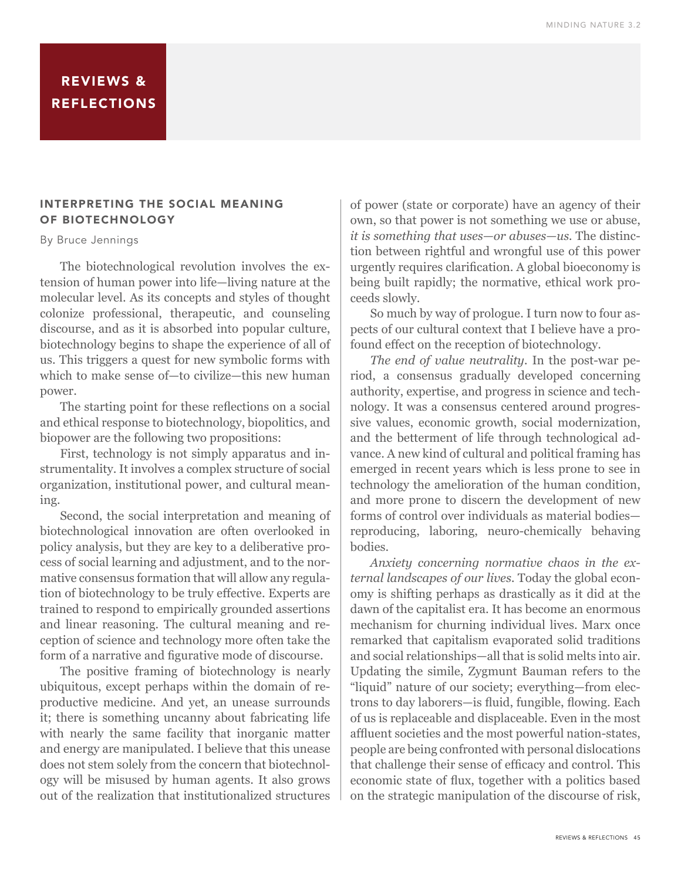## REVIEWS & REFLECTIONS

### INTERPRETING THE SOCIAL MEANING OF BIOTECHNOLOGY

#### By Bruce Jennings

The biotechnological revolution involves the extension of human power into life—living nature at the molecular level. As its concepts and styles of thought colonize professional, therapeutic, and counseling discourse, and as it is absorbed into popular culture, biotechnology begins to shape the experience of all of us. This triggers a quest for new symbolic forms with which to make sense of—to civilize—this new human power.

The starting point for these reflections on a social and ethical response to biotechnology, biopolitics, and biopower are the following two propositions:

First, technology is not simply apparatus and instrumentality. It involves a complex structure of social organization, institutional power, and cultural meaning.

Second, the social interpretation and meaning of biotechnological innovation are often overlooked in policy analysis, but they are key to a deliberative process of social learning and adjustment, and to the normative consensus formation that will allow any regulation of biotechnology to be truly effective. Experts are trained to respond to empirically grounded assertions and linear reasoning. The cultural meaning and reception of science and technology more often take the form of a narrative and figurative mode of discourse.

The positive framing of biotechnology is nearly ubiquitous, except perhaps within the domain of reproductive medicine. And yet, an unease surrounds it; there is something uncanny about fabricating life with nearly the same facility that inorganic matter and energy are manipulated. I believe that this unease does not stem solely from the concern that biotechnology will be misused by human agents. It also grows out of the realization that institutionalized structures

of power (state or corporate) have an agency of their own, so that power is not something we use or abuse, *it is something that uses—or abuses—us.* The distinction between rightful and wrongful use of this power urgently requires clarification. A global bioeconomy is being built rapidly; the normative, ethical work proceeds slowly.

So much by way of prologue. I turn now to four aspects of our cultural context that I believe have a profound effect on the reception of biotechnology.

*The end of value neutrality.* In the post-war period, a consensus gradually developed concerning authority, expertise, and progress in science and technology. It was a consensus centered around progressive values, economic growth, social modernization, and the betterment of life through technological advance. A new kind of cultural and political framing has emerged in recent years which is less prone to see in technology the amelioration of the human condition, and more prone to discern the development of new forms of control over individuals as material bodies reproducing, laboring, neuro-chemically behaving bodies.

*Anxiety concerning normative chaos in the external landscapes of our lives.* Today the global economy is shifting perhaps as drastically as it did at the dawn of the capitalist era. It has become an enormous mechanism for churning individual lives. Marx once remarked that capitalism evaporated solid traditions and social relationships—all that is solid melts into air. Updating the simile, Zygmunt Bauman refers to the "liquid" nature of our society; everything—from elec trons to day laborers-is fluid, fungible, flowing. Each of us is replaceable and displaceable. Even in the most affluent societies and the most powerful nation-states, people are being confronted with personal dislocations that challenge their sense of efficacy and control. This economic state of flux, together with a politics based on the strategic manipulation of the discourse of risk,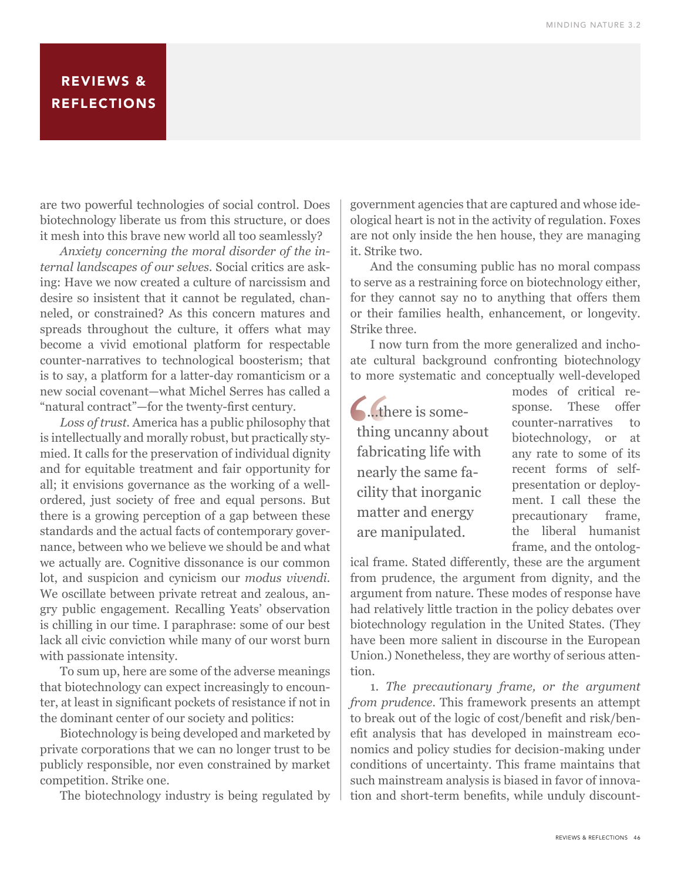# REVIEWS & **REFLECTIONS**

are two powerful technologies of social control. Does biotechnology liberate us from this structure, or does it mesh into this brave new world all too seamlessly?

*Anxiety concerning the moral disorder of the internal landscapes of our selves.* Social critics are asking: Have we now created a culture of narcissism and desire so insistent that it cannot be regulated, channeled, or constrained? As this concern matures and spreads throughout the culture, it offers what may become a vivid emotional platform for respectable counter-narratives to technological boosterism; that is to say, a platform for a latter-day romanticism or a new social covenant—what Michel Serres has called a "natural contract"-for the twenty-first century.

*Loss of trust.* America has a public philosophy that is intellectually and morally robust, but practically stymied. It calls for the preservation of individual dignity and for equitable treatment and fair opportunity for all; it envisions governance as the working of a wellordered, just society of free and equal persons. But there is a growing perception of a gap between these standards and the actual facts of contemporary governance, between who we believe we should be and what we actually are. Cognitive dissonance is our common lot, and suspicion and cynicism our *modus vivendi.*  We oscillate between private retreat and zealous, angry public engagement. Recalling Yeats' observation is chilling in our time. I paraphrase: some of our best lack all civic conviction while many of our worst burn with passionate intensity.

To sum up, here are some of the adverse meanings that biotechnology can expect increasingly to encoun ter, at least in significant pockets of resistance if not in the dominant center of our society and politics:

Biotechnology is being developed and marketed by private corporations that we can no longer trust to be publicly responsible, nor even constrained by market competition. Strike one.

The biotechnology industry is being regulated by

government agencies that are captured and whose ideological heart is not in the activity of regulation. Foxes are not only inside the hen house, they are managing it. Strike two.

And the consuming public has no moral compass to serve as a restraining force on biotechnology either, for they cannot say no to anything that offers them or their families health, enhancement, or longevity. Strike three.

I now turn from the more generalized and inchoate cultural background confronting biotechnology to more systematic and conceptually well-developed

**6.**..there is something uncanny about fabricating life with nearly the same facility that inorganic matter and energy are manipulated.

modes of critical response. These offer counter-narratives to biotechnology, or at any rate to some of its recent forms of selfpresentation or deployment. I call these the precautionary frame, the liberal humanist frame, and the ontolog-

ical frame. Stated differently, these are the argument from prudence, the argument from dignity, and the argument from nature. These modes of response have had relatively little traction in the policy debates over biotechnology regulation in the United States. (They have been more salient in discourse in the European Union.) Nonetheless, they are worthy of serious attention.

1. *The precautionary frame, or the argument from prudence.* This framework presents an attempt to break out of the logic of cost/benefit and risk/benefit analysis that has developed in mainstream economics and policy studies for decision-making under conditions of uncertainty. This frame maintains that such mainstream analysis is biased in favor of innova tion and short-term benefits, while unduly discount-